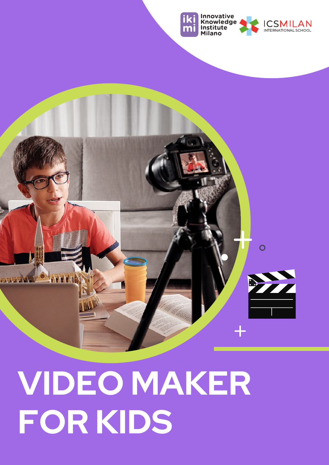



## **VIDEO MAKER FOR KIDS**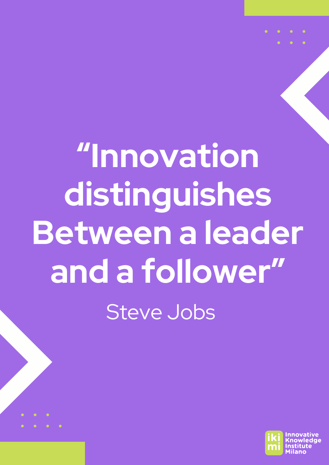## **"Innovation distinguishes Between a leader and a follower"** Steve Jobs



 $\bullet$   $\bullet$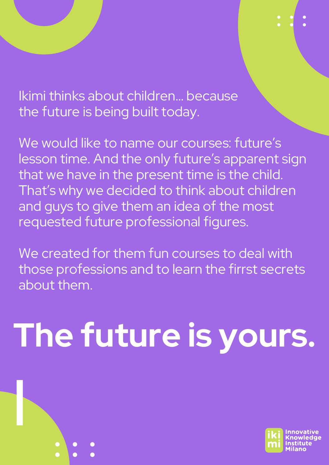Ikimi thinks about children… because the future is being built today.

We would like to name our courses: future's lesson time. And the only future's apparent sign that we have in the present time is the child. That's why we decided to think about children and guys to give them an idea of the most requested future professional figures.

We created for them fun courses to deal with those professions and to learn the firrst secrets about them.

# **The future is yours.**

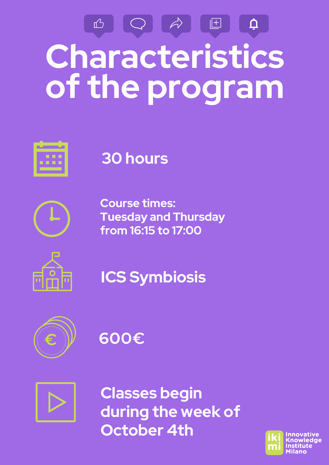### B Q A  $\blacksquare$  $\vec{\mathsf{U}}$ **Characteristics of the program**



#### **30 hours**



**Course times: Tuesday and Thursday from 16:15 to 17:00**











**Classes begin during the week of October 4th**

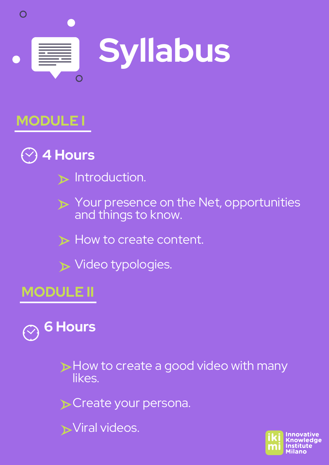

#### **MODULE I**



- $\triangleright$  Introduction.
- $\triangleright$  Your presence on the Net, opportunities and things to know.
- $\triangleright$  How to create content.
- $\triangleright$  Video typologies.

#### **MODULE II**



How to create a good video with many likes.

Create your persona.

**Viral videos.** 

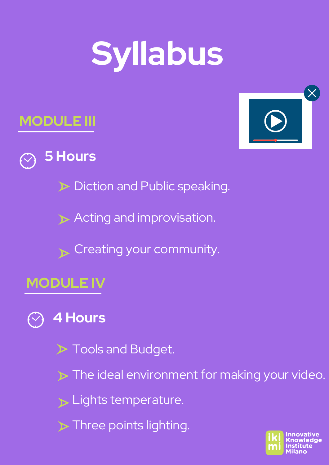## **Syllabus**





**5 Hours**

Diction and Public speaking.

Acting and improvisation.

 $\sum$  Creating your community.

#### **MODULE IV**

#### **4 Hours**

 $\triangleright$  Tools and Budget.

 $\triangleright$  The ideal environment for making your video.

 $\triangleright$  Lights temperature.

 $\triangleright$  Three points lighting.